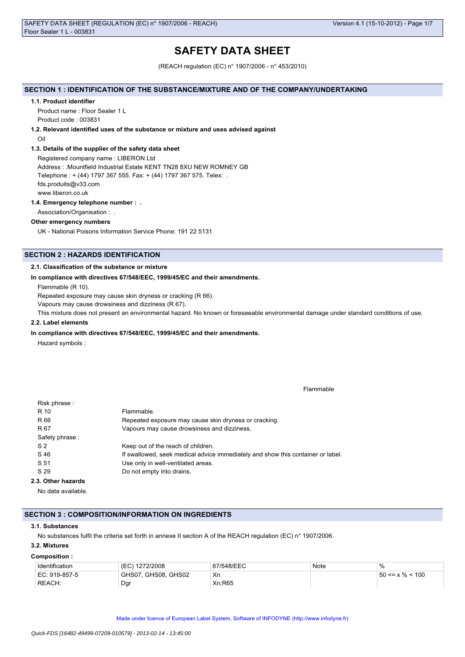# **SAFETY DATA SHEET**

(REACH regulation (EC) n° 1907/2006 - n° 453/2010)

# **SECTION 1 : IDENTIFICATION OF THE SUBSTANCE/MIXTURE AND OF THE COMPANY/UNDERTAKING**

#### **1.1. Product identifier**

Product name : Floor Sealer 1 L Product code : 003831

### **1.2. Relevant identified uses of the substance or mixture and uses advised against**

Oil

### **1.3. Details of the supplier of the safety data sheet**

Registered company name : LIBERON Ltd Address : .Mountfield Industrial Estate KENT TN28 8XU NEW ROMNEY GB Telephone : + (44) 1797 367 555. Fax: + (44) 1797 367 575. Telex: . fds.produits@v33.com www.liberon.co.uk

### **1.4. Emergency telephone number : .**

Association/Organisation : .

### **Other emergency numbers**

UK - National Poisons Information Service Phone: 191 22 5131

# **SECTION 2 : HAZARDS IDENTIFICATION**

### **2.1. Classification of the substance or mixture**

### **In compliance with directives 67/548/EEC, 1999/45/EC and their amendments.**

Flammable (R 10).

Repeated exposure may cause skin dryness or cracking (R 66).

Vapours may cause drowsiness and dizziness (R 67).

This mixture does not present an environmental hazard. No known or foreseeable environmental damage under standard conditions of use.

# **2.2. Label elements**

#### **In compliance with directives 67/548/EEC, 1999/45/EC and their amendments.**

Hazard symbols :

Flammable

| Risk phrase:       |                                                                                 |
|--------------------|---------------------------------------------------------------------------------|
| R 10               | Flammable.                                                                      |
| R 66               | Repeated exposure may cause skin dryness or cracking.                           |
| R 67               | Vapours may cause drowsiness and dizziness.                                     |
| Safety phrase:     |                                                                                 |
| S <sub>2</sub>     | Keep out of the reach of children.                                              |
| S 46               | If swallowed, seek medical advice immediately and show this container or label. |
| S 51               | Use only in well-ventilated areas.                                              |
| S 29               | Do not empty into drains.                                                       |
| 2.3. Other hazards |                                                                                 |
|                    |                                                                                 |

No data available.

### **SECTION 3 : COMPOSITION/INFORMATION ON INGREDIENTS**

#### **3.1. Substances**

No substances fulfil the criteria set forth in annexe II section A of the REACH regulation (EC) n° 1907/2006.

# **3.2. Mixtures**

#### **Composition :**

| Identification | (EC) 1272/2008      | 67/548/EEC | Note | $\%$                  |
|----------------|---------------------|------------|------|-----------------------|
| EC: 919-857-5  | GHS07, GHS08, GHS02 | Xn         |      | $50 \le x \% \le 100$ |
| REACH:         | Dar                 | Xn:R65     |      |                       |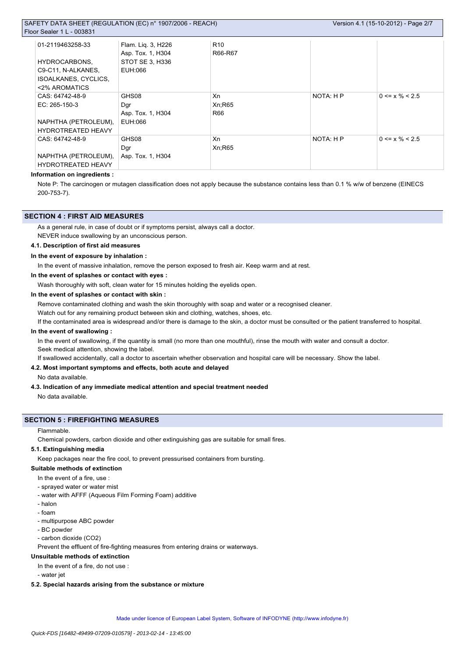# SAFETY DATA SHEET (REGULATION (EC) n° 1907/2006 - REACH)  $Flo$

| or Sealer 1 L - 003831    |                    |                 |           |                      |  |
|---------------------------|--------------------|-----------------|-----------|----------------------|--|
| 01-2119463258-33          | Flam. Lig. 3, H226 | R <sub>10</sub> |           |                      |  |
|                           | Asp. Tox. 1, H304  | R66-R67         |           |                      |  |
| HYDROCARBONS,             | STOT SE 3, H336    |                 |           |                      |  |
| C9-C11, N-ALKANES,        | EUH:066            |                 |           |                      |  |
| ISOALKANES, CYCLICS,      |                    |                 |           |                      |  |
| <2% AROMATICS             |                    |                 |           |                      |  |
| CAS: 64742-48-9           | GHS08              | Xn              | NOTA: H P | $0 \le x \% \le 2.5$ |  |
| $EC: 265-150-3$           | Dgr                | Xn:R65          |           |                      |  |
|                           | Asp. Tox. 1, H304  | R66             |           |                      |  |
| NAPHTHA (PETROLEUM),      | EUH:066            |                 |           |                      |  |
| <b>HYDROTREATED HEAVY</b> |                    |                 |           |                      |  |
| CAS: 64742-48-9           | GHS08              | Xn              | NOTA: H P | $0 \le x \% \le 2.5$ |  |
|                           | Dgr                | Xn:R65          |           |                      |  |
| NAPHTHA (PETROLEUM),      | Asp. Tox. 1, H304  |                 |           |                      |  |
| <b>HYDROTREATED HEAVY</b> |                    |                 |           |                      |  |

#### **Information on ingredients :**

Note P: The carcinogen or mutagen classification does not apply because the substance contains less than 0.1 % w/w of benzene (EINECS 200-753-7).

## **SECTION 4 : FIRST AID MEASURES**

As a general rule, in case of doubt or if symptoms persist, always call a doctor.

NEVER induce swallowing by an unconscious person.

# **4.1. Description of first aid measures**

**In the event of exposure by inhalation :**

In the event of massive inhalation, remove the person exposed to fresh air. Keep warm and at rest.

**In the event of splashes or contact with eyes :**

Wash thoroughly with soft, clean water for 15 minutes holding the eyelids open.

## **In the event of splashes or contact with skin :**

Remove contaminated clothing and wash the skin thoroughly with soap and water or a recognised cleaner.

Watch out for any remaining product between skin and clothing, watches, shoes, etc.

If the contaminated area is widespread and/or there is damage to the skin, a doctor must be consulted or the patient transferred to hospital.

# **In the event of swallowing :**

In the event of swallowing, if the quantity is small (no more than one mouthful), rinse the mouth with water and consult a doctor. Seek medical attention, showing the label.

If swallowed accidentally, call a doctor to ascertain whether observation and hospital care will be necessary. Show the label.

# **4.2. Most important symptoms and effects, both acute and delayed**

No data available.

### **4.3. Indication of any immediate medical attention and special treatment needed**

No data available.

### **SECTION 5 : FIREFIGHTING MEASURES**

#### Flammable.

Chemical powders, carbon dioxide and other extinguishing gas are suitable for small fires.

### **5.1. Extinguishing media**

Keep packages near the fire cool, to prevent pressurised containers from bursting.

#### **Suitable methods of extinction**

- In the event of a fire, use :
- sprayed water or water mist
- water with AFFF (Aqueous Film Forming Foam) additive
- halon
- foam
- multipurpose ABC powder
- BC powder
- carbon dioxide (CO2)

Prevent the effluent of fire-fighting measures from entering drains or waterways.

# **Unsuitable methods of extinction**

In the event of a fire, do not use :

- water jet

# **5.2. Special hazards arising from the substance or mixture**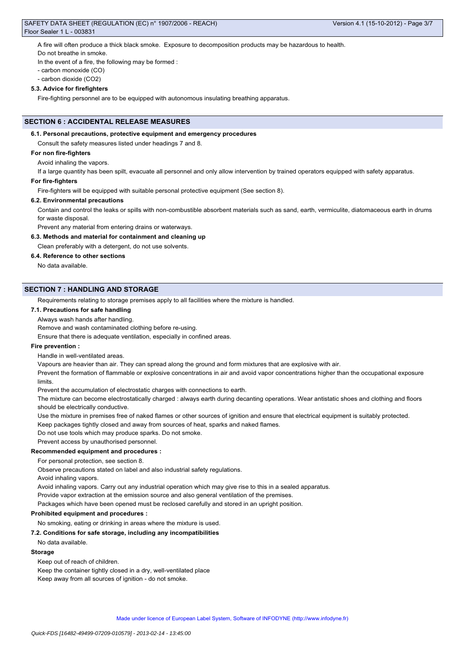### SAFETY DATA SHEET (REGULATION (EC) n° 1907/2006 - REACH) Floor Sealer 1 L - 003831

A fire will often produce a thick black smoke. Exposure to decomposition products may be hazardous to health.

Do not breathe in smoke.

In the event of a fire, the following may be formed :

- carbon monoxide (CO)
- carbon dioxide (CO2)

# **5.3. Advice for firefighters**

Fire-fighting personnel are to be equipped with autonomous insulating breathing apparatus.

# **SECTION 6 : ACCIDENTAL RELEASE MEASURES**

# **6.1. Personal precautions, protective equipment and emergency procedures**

Consult the safety measures listed under headings 7 and 8.

# **For non fire-fighters**

Avoid inhaling the vapors.

If a large quantity has been spilt, evacuate all personnel and only allow intervention by trained operators equipped with safety apparatus.

# **For fire-fighters**

Fire-fighters will be equipped with suitable personal protective equipment (See section 8).

# **6.2. Environmental precautions**

Contain and control the leaks or spills with non-combustible absorbent materials such as sand, earth, vermiculite, diatomaceous earth in drums for waste disposal.

Prevent any material from entering drains or waterways.

# **6.3. Methods and material for containment and cleaning up**

Clean preferably with a detergent, do not use solvents.

# **6.4. Reference to other sections**

No data available.

## **SECTION 7 : HANDLING AND STORAGE**

Requirements relating to storage premises apply to all facilities where the mixture is handled.

#### **7.1. Precautions for safe handling**

# Always wash hands after handling.

Remove and wash contaminated clothing before re-using.

Ensure that there is adequate ventilation, especially in confined areas.

### **Fire prevention :**

Handle in well-ventilated areas.

Vapours are heavier than air. They can spread along the ground and form mixtures that are explosive with air.

Prevent the formation of flammable or explosive concentrations in air and avoid vapor concentrations higher than the occupational exposure limits.

Prevent the accumulation of electrostatic charges with connections to earth.

The mixture can become electrostatically charged : always earth during decanting operations. Wear antistatic shoes and clothing and floors should be electrically conductive.

Use the mixture in premises free of naked flames or other sources of ignition and ensure that electrical equipment is suitably protected.

Keep packages tightly closed and away from sources of heat, sparks and naked flames.

Do not use tools which may produce sparks. Do not smoke.

Prevent access by unauthorised personnel.

# **Recommended equipment and procedures :**

For personal protection, see section 8.

Observe precautions stated on label and also industrial safety regulations.

Avoid inhaling vapors.

Avoid inhaling vapors. Carry out any industrial operation which may give rise to this in a sealed apparatus.

Provide vapor extraction at the emission source and also general ventilation of the premises.

Packages which have been opened must be reclosed carefully and stored in an upright position.

### **Prohibited equipment and procedures :**

No smoking, eating or drinking in areas where the mixture is used.

### **7.2. Conditions for safe storage, including any incompatibilities**

No data available.

### **Storage**

Keep out of reach of children.

Keep the container tightly closed in a dry, well-ventilated place

Keep away from all sources of ignition - do not smoke.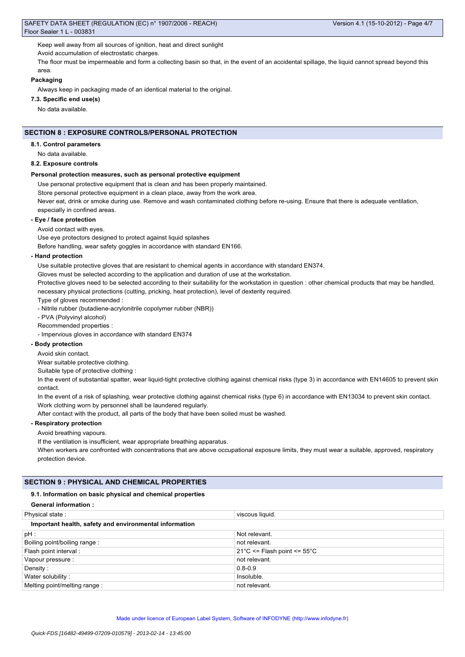Keep well away from all sources of ignition, heat and direct sunlight

Avoid accumulation of electrostatic charges.

The floor must be impermeable and form a collecting basin so that, in the event of an accidental spillage, the liquid cannot spread beyond this area.

### **Packaging**

Always keep in packaging made of an identical material to the original.

# **7.3. Specific end use(s)**

No data available.

# **SECTION 8 : EXPOSURE CONTROLS/PERSONAL PROTECTION**

#### **8.1. Control parameters**

No data available.

#### **8.2. Exposure controls**

#### **Personal protection measures, such as personal protective equipment**

Use personal protective equipment that is clean and has been properly maintained.

Store personal protective equipment in a clean place, away from the work area.

Never eat, drink or smoke during use. Remove and wash contaminated clothing before re-using. Ensure that there is adequate ventilation, especially in confined areas.

#### **- Eye / face protection**

Avoid contact with eyes.

Use eye protectors designed to protect against liquid splashes

Before handling, wear safety goggles in accordance with standard EN166.

#### **- Hand protection**

Use suitable protective gloves that are resistant to chemical agents in accordance with standard EN374.

Gloves must be selected according to the application and duration of use at the workstation.

Protective gloves need to be selected according to their suitability for the workstation in question : other chemical products that may be handled, necessary physical protections (cutting, pricking, heat protection), level of dexterity required.

Type of gloves recommended :

- Nitrile rubber (butadiene-acrylonitrile copolymer rubber (NBR))

- PVA (Polyvinyl alcohol)

Recommended properties :

- Impervious gloves in accordance with standard EN374

# **- Body protection**

Avoid skin contact.

Wear suitable protective clothing.

Suitable type of protective clothing :

In the event of substantial spatter, wear liquid-tight protective clothing against chemical risks (type 3) in accordance with EN14605 to prevent skin contact.

In the event of a risk of splashing, wear protective clothing against chemical risks (type 6) in accordance with EN13034 to prevent skin contact. Work clothing worn by personnel shall be laundered regularly.

After contact with the product, all parts of the body that have been soiled must be washed.

# **- Respiratory protection**

Avoid breathing vapours.

If the ventilation is insufficient, wear appropriate breathing apparatus.

When workers are confronted with concentrations that are above occupational exposure limits, they must wear a suitable, approved, respiratory protection device.

# **SECTION 9 : PHYSICAL AND CHEMICAL PROPERTIES**

#### **9.1. Information on basic physical and chemical properties**

| <b>General information:</b>                            |                                                 |  |  |  |
|--------------------------------------------------------|-------------------------------------------------|--|--|--|
| Physical state:                                        | viscous liquid.                                 |  |  |  |
| Important health, safety and environmental information |                                                 |  |  |  |
| pH:                                                    | Not relevant.                                   |  |  |  |
| Boiling point/boiling range:                           | not relevant.                                   |  |  |  |
| Flash point interval:                                  | $21^{\circ}$ C <= Flash point <= $55^{\circ}$ C |  |  |  |
| Vapour pressure :                                      | not relevant.                                   |  |  |  |
| Density:                                               | $0.8 - 0.9$                                     |  |  |  |
| Water solubility:                                      | Insoluble.                                      |  |  |  |
| Melting point/melting range:                           | not relevant.                                   |  |  |  |
|                                                        |                                                 |  |  |  |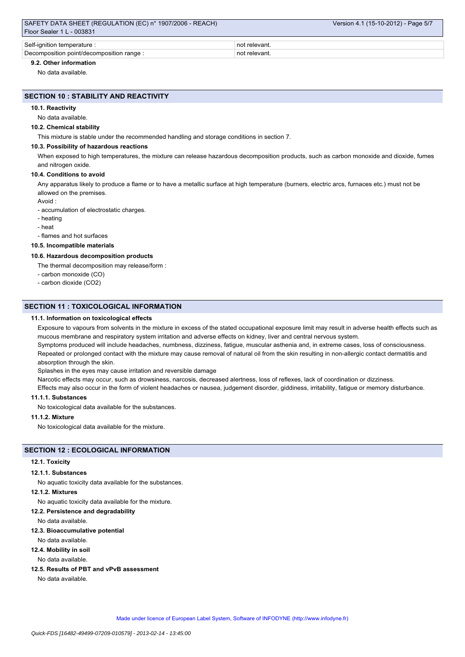| SAFETY DATA SHEET (REGULATION (EC) n° 1907/2006 - REACH) | Version 4.1 (15-10-2012) - Page 5/7 |
|----------------------------------------------------------|-------------------------------------|
| Floor Sealer 1 L - 003831                                |                                     |
|                                                          |                                     |
| Self-ignition temperature :                              | not relevant.                       |
| Decomposition point/decomposition range :                | not relevant.                       |

# **9.2. Other information**

No data available.

# **SECTION 10 : STABILITY AND REACTIVITY**

### **10.1. Reactivity**

# No data available.

#### **10.2. Chemical stability**

This mixture is stable under the recommended handling and storage conditions in section 7.

#### **10.3. Possibility of hazardous reactions**

When exposed to high temperatures, the mixture can release hazardous decomposition products, such as carbon monoxide and dioxide, fumes and nitrogen oxide.

### **10.4. Conditions to avoid**

Any apparatus likely to produce a flame or to have a metallic surface at high temperature (burners, electric arcs, furnaces etc.) must not be allowed on the premises.

Avoid :

- accumulation of electrostatic charges.

- heating
- heat

- flames and hot surfaces

# **10.5. Incompatible materials**

### **10.6. Hazardous decomposition products**

The thermal decomposition may release/form :

- carbon monoxide (CO)
- carbon dioxide (CO2)

### **SECTION 11 : TOXICOLOGICAL INFORMATION**

#### **11.1. Information on toxicological effects**

Exposure to vapours from solvents in the mixture in excess of the stated occupational exposure limit may result in adverse health effects such as mucous membrane and respiratory system irritation and adverse effects on kidney, liver and central nervous system.

Symptoms produced will include headaches, numbness, dizziness, fatigue, muscular asthenia and, in extreme cases, loss of consciousness. Repeated or prolonged contact with the mixture may cause removal of natural oil from the skin resulting in non-allergic contact dermatitis and absorption through the skin.

Splashes in the eyes may cause irritation and reversible damage

Narcotic effects may occur, such as drowsiness, narcosis, decreased alertness, loss of reflexes, lack of coordination or dizziness.

Effects may also occur in the form of violent headaches or nausea, judgement disorder, giddiness, irritability, fatigue or memory disturbance.

# **11.1.1. Substances**

No toxicological data available for the substances.

# **11.1.2. Mixture**

No toxicological data available for the mixture.

# **SECTION 12 : ECOLOGICAL INFORMATION**

#### **12.1. Toxicity**

#### **12.1.1. Substances**

No aquatic toxicity data available for the substances.

#### **12.1.2. Mixtures**

No aquatic toxicity data available for the mixture.

#### **12.2. Persistence and degradability**

No data available.

#### **12.3. Bioaccumulative potential**

No data available.

#### **12.4. Mobility in soil**

No data available.

**12.5. Results of PBT and vPvB assessment**

No data available.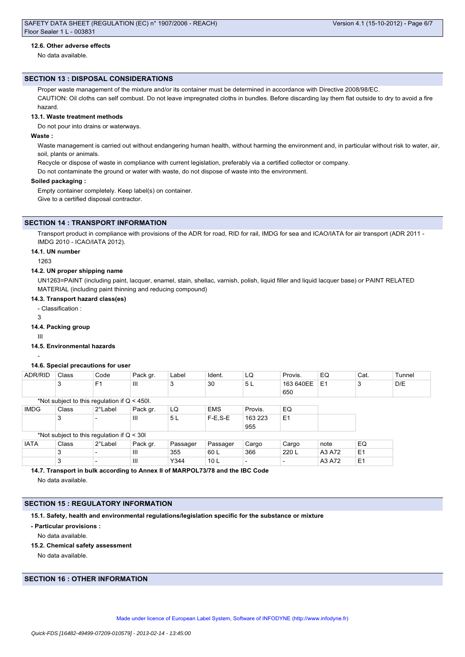### **12.6. Other adverse effects**

No data available.

#### **SECTION 13 : DISPOSAL CONSIDERATIONS**

Proper waste management of the mixture and/or its container must be determined in accordance with Directive 2008/98/EC.

CAUTION: Oil cloths can self combust. Do not leave impregnated cloths in bundles. Before discarding lay them flat outside to dry to avoid a fire hazard.

# **13.1. Waste treatment methods**

Do not pour into drains or waterways.

### **Waste :**

Waste management is carried out without endangering human health, without harming the environment and, in particular without risk to water, air, soil, plants or animals.

Recycle or dispose of waste in compliance with current legislation, preferably via a certified collector or company.

Do not contaminate the ground or water with waste, do not dispose of waste into the environment.

#### **Soiled packaging :**

Empty container completely. Keep label(s) on container. Give to a certified disposal contractor.

### **SECTION 14 : TRANSPORT INFORMATION**

Transport product in compliance with provisions of the ADR for road, RID for rail, IMDG for sea and ICAO/IATA for air transport (ADR 2011 -IMDG 2010 - ICAO/IATA 2012).

#### **14.1. UN number**

1263

#### **14.2. UN proper shipping name**

UN1263=PAINT (including paint, lacquer, enamel, stain, shellac, varnish, polish, liquid filler and liquid lacquer base) or PAINT RELATED MATERIAL (including paint thinning and reducing compound)

### **14.3. Transport hazard class(es)**

- Classification :

3

#### **14.4. Packing group**

III

# **14.5. Environmental hazards**

**14.6. Special precautions for user**

# -

| ADR/RID                                        | Class | Code           | Pack gr. | Label    | Ident.     | LQ      | Provis.        | EQ             | Cat.           | Tunnel |
|------------------------------------------------|-------|----------------|----------|----------|------------|---------|----------------|----------------|----------------|--------|
|                                                | 3     | F <sub>1</sub> | Ш        | 3        | 30         | 5L      | 163 640EE      | E <sub>1</sub> | 3              | D/E    |
|                                                |       |                |          |          |            |         | 650            |                |                |        |
| *Not subject to this regulation if $Q < 450$ . |       |                |          |          |            |         |                |                |                |        |
| <b>IMDG</b>                                    | Class | 2°Label        | Pack gr. | LQ       | <b>EMS</b> | Provis. | EQ             |                |                |        |
|                                                | 3     |                | Ш        | 5 L      | $F-E.S-E$  | 163 223 | E <sub>1</sub> |                |                |        |
|                                                |       |                |          |          |            | 955     |                |                |                |        |
| *Not subject to this regulation if $Q < 30I$   |       |                |          |          |            |         |                |                |                |        |
| <b>IATA</b>                                    | Class | 2°Label        | Pack gr. | Passager | Passager   | Cargo   | Cargo          | note           | EQ             |        |
|                                                | 3     |                | Ш        | 355      | 60 L       | 366     | 220 L          | A3 A72         | E <sub>1</sub> |        |

3 |- |III |Y344 |10 L |- |- |A3 A72 |E1

**14.7. Transport in bulk according to Annex II of MARPOL73/78 and the IBC Code** No data available.

# **SECTION 15 : REGULATORY INFORMATION**

**15.1. Safety, health and environmental regulations/legislation specific for the substance or mixture**

**- Particular provisions :**

No data available.

**15.2. Chemical safety assessment**

No data available.

# **SECTION 16 : OTHER INFORMATION**